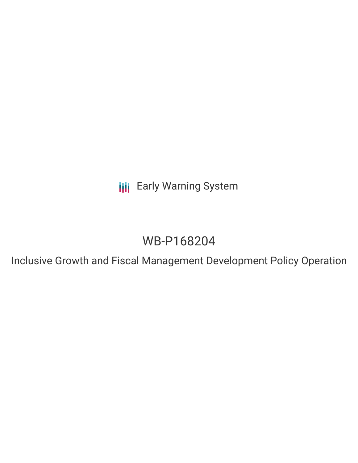**III** Early Warning System

# WB-P168204

Inclusive Growth and Fiscal Management Development Policy Operation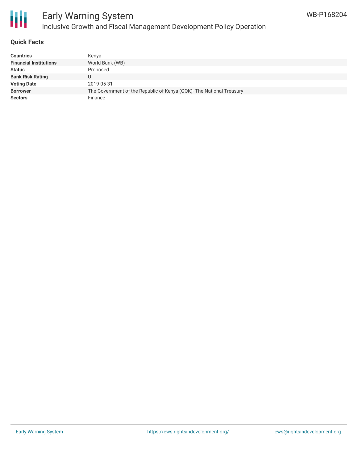

# Early Warning System Inclusive Growth and Fiscal Management Development Policy Operation

## **Quick Facts**

| <b>Countries</b>              | Kenya                                                                |
|-------------------------------|----------------------------------------------------------------------|
| <b>Financial Institutions</b> | World Bank (WB)                                                      |
| <b>Status</b>                 | Proposed                                                             |
| <b>Bank Risk Rating</b>       |                                                                      |
| <b>Voting Date</b>            | 2019-05-31                                                           |
| <b>Borrower</b>               | The Government of the Republic of Kenya (GOK)- The National Treasury |
| <b>Sectors</b>                | Finance                                                              |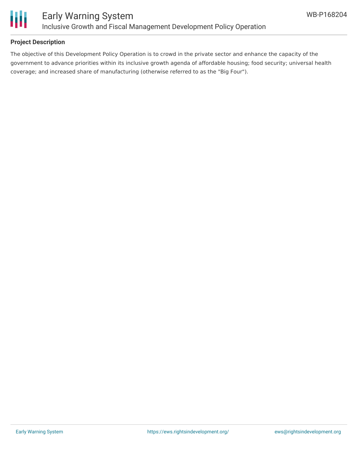

## **Project Description**

The objective of this Development Policy Operation is to crowd in the private sector and enhance the capacity of the government to advance priorities within its inclusive growth agenda of affordable housing; food security; universal health coverage; and increased share of manufacturing (otherwise referred to as the "Big Four").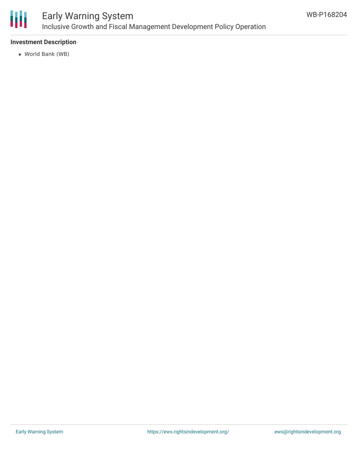

# Early Warning System Inclusive Growth and Fiscal Management Development Policy Operation

## **Investment Description**

World Bank (WB)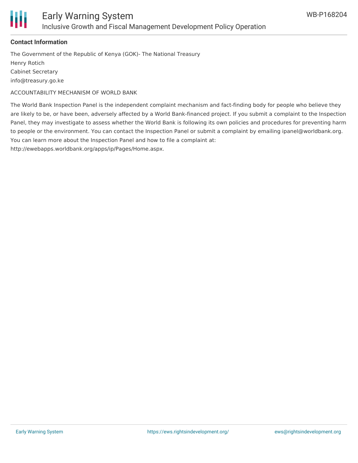

### **Contact Information**

The Government of the Republic of Kenya (GOK)- The National Treasury Henry Rotich Cabinet Secretary info@treasury.go.ke

ACCOUNTABILITY MECHANISM OF WORLD BANK

The World Bank Inspection Panel is the independent complaint mechanism and fact-finding body for people who believe they are likely to be, or have been, adversely affected by a World Bank-financed project. If you submit a complaint to the Inspection Panel, they may investigate to assess whether the World Bank is following its own policies and procedures for preventing harm to people or the environment. You can contact the Inspection Panel or submit a complaint by emailing ipanel@worldbank.org. You can learn more about the Inspection Panel and how to file a complaint at:

http://ewebapps.worldbank.org/apps/ip/Pages/Home.aspx.